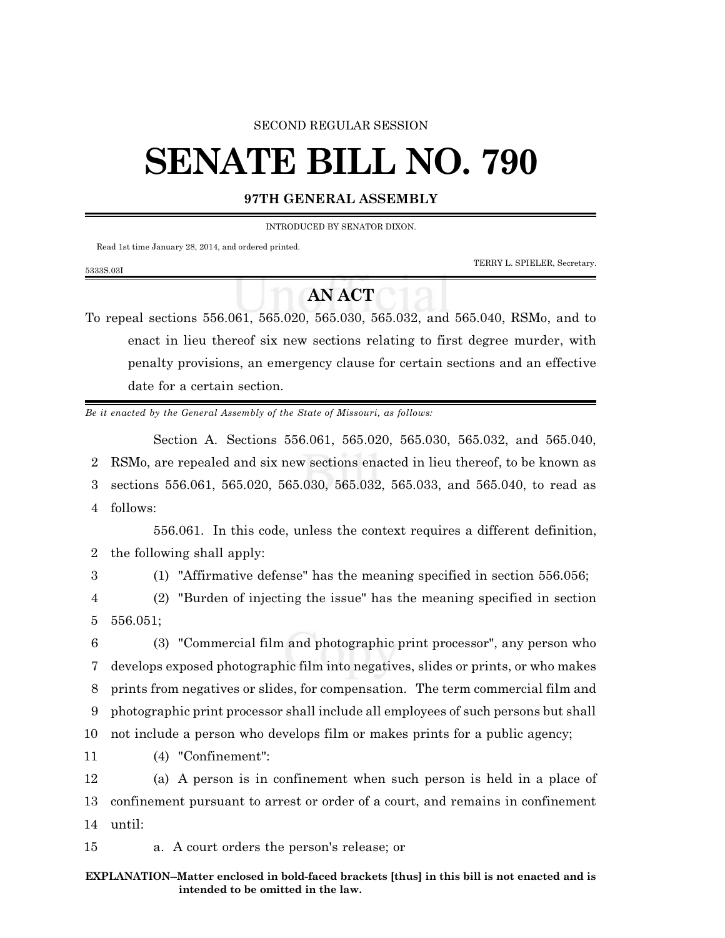## SECOND REGULAR SESSION

## **SENATE BILL NO. 790**

## **97TH GENERAL ASSEMBLY**

INTRODUCED BY SENATOR DIXON.

Read 1st time January 28, 2014, and ordered printed.

TERRY L. SPIELER, Secretary.

## **AN ACT**

To repeal sections 556.061, 565.020, 565.030, 565.032, and 565.040, RSMo, and to enact in lieu thereof six new sections relating to first degree murder, with penalty provisions, an emergency clause for certain sections and an effective date for a certain section.

*Be it enacted by the General Assembly of the State of Missouri, as follows:*

Section A. Sections 556.061, 565.020, 565.030, 565.032, and 565.040, 2 RSMo, are repealed and six new sections enacted in lieu thereof, to be known as 3 sections 556.061, 565.020, 565.030, 565.032, 565.033, and 565.040, to read as 4 follows:

556.061. In this code, unless the context requires a different definition, 2 the following shall apply:

5333S.03I

3 (1) "Affirmative defense" has the meaning specified in section 556.056;

4 (2) "Burden of injecting the issue" has the meaning specified in section 5 556.051;

 (3) "Commercial film and photographic print processor", any person who develops exposed photographic film into negatives, slides or prints, or who makes prints from negatives or slides, for compensation. The term commercial film and photographic print processor shall include all employees of such persons but shall not include a person who develops film or makes prints for a public agency;

11 (4) "Confinement":

12 (a) A person is in confinement when such person is held in a place of 13 confinement pursuant to arrest or order of a court, and remains in confinement 14 until:

15 a. A court orders the person's release; or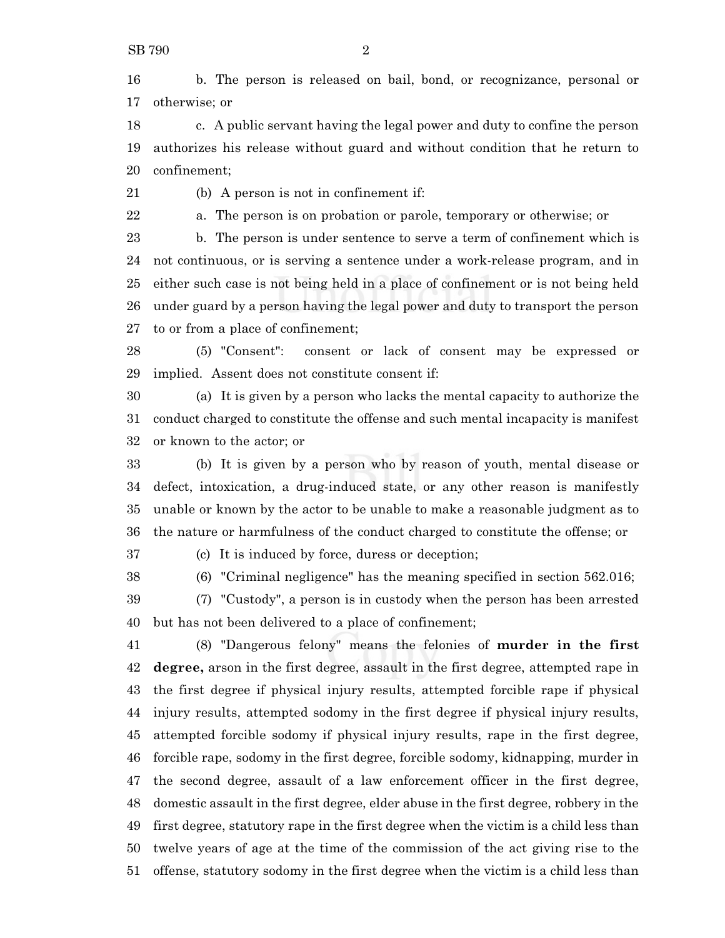b. The person is released on bail, bond, or recognizance, personal or otherwise; or

 c. A public servant having the legal power and duty to confine the person authorizes his release without guard and without condition that he return to confinement;

(b) A person is not in confinement if:

a. The person is on probation or parole, temporary or otherwise; or

 b. The person is under sentence to serve a term of confinement which is not continuous, or is serving a sentence under a work-release program, and in either such case is not being held in a place of confinement or is not being held under guard by a person having the legal power and duty to transport the person to or from a place of confinement;

 (5) "Consent": consent or lack of consent may be expressed or implied. Assent does not constitute consent if:

 (a) It is given by a person who lacks the mental capacity to authorize the conduct charged to constitute the offense and such mental incapacity is manifest or known to the actor; or

 (b) It is given by a person who by reason of youth, mental disease or defect, intoxication, a drug-induced state, or any other reason is manifestly unable or known by the actor to be unable to make a reasonable judgment as to the nature or harmfulness of the conduct charged to constitute the offense; or

(c) It is induced by force, duress or deception;

(6) "Criminal negligence" has the meaning specified in section 562.016;

 (7) "Custody", a person is in custody when the person has been arrested but has not been delivered to a place of confinement;

 (8) "Dangerous felony" means the felonies of **murder in the first degree,** arson in the first degree, assault in the first degree, attempted rape in the first degree if physical injury results, attempted forcible rape if physical injury results, attempted sodomy in the first degree if physical injury results, attempted forcible sodomy if physical injury results, rape in the first degree, forcible rape, sodomy in the first degree, forcible sodomy, kidnapping, murder in the second degree, assault of a law enforcement officer in the first degree, domestic assault in the first degree, elder abuse in the first degree, robbery in the first degree, statutory rape in the first degree when the victim is a child less than twelve years of age at the time of the commission of the act giving rise to the offense, statutory sodomy in the first degree when the victim is a child less than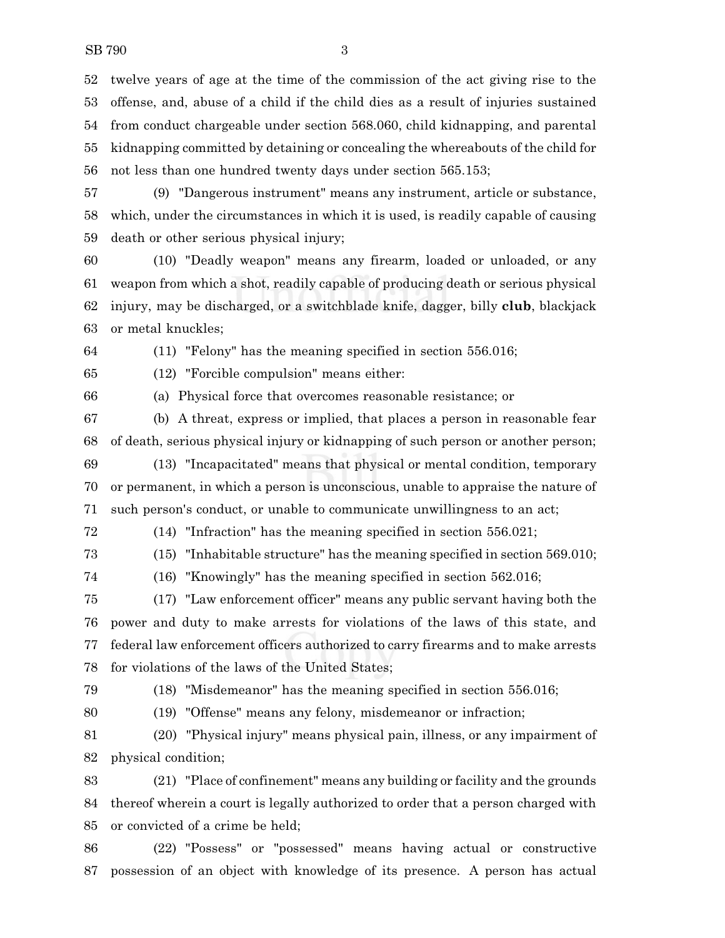twelve years of age at the time of the commission of the act giving rise to the offense, and, abuse of a child if the child dies as a result of injuries sustained from conduct chargeable under section 568.060, child kidnapping, and parental kidnapping committed by detaining or concealing the whereabouts of the child for not less than one hundred twenty days under section 565.153;

 (9) "Dangerous instrument" means any instrument, article or substance, which, under the circumstances in which it is used, is readily capable of causing death or other serious physical injury;

 (10) "Deadly weapon" means any firearm, loaded or unloaded, or any weapon from which a shot, readily capable of producing death or serious physical injury, may be discharged, or a switchblade knife, dagger, billy **club**, blackjack or metal knuckles;

(11) "Felony" has the meaning specified in section 556.016;

(12) "Forcible compulsion" means either:

(a) Physical force that overcomes reasonable resistance; or

 (b) A threat, express or implied, that places a person in reasonable fear of death, serious physical injury or kidnapping of such person or another person;

 (13) "Incapacitated" means that physical or mental condition, temporary or permanent, in which a person is unconscious, unable to appraise the nature of such person's conduct, or unable to communicate unwillingness to an act;

(14) "Infraction" has the meaning specified in section 556.021;

(15) "Inhabitable structure" has the meaning specified in section 569.010;

(16) "Knowingly" has the meaning specified in section 562.016;

 (17) "Law enforcement officer" means any public servant having both the power and duty to make arrests for violations of the laws of this state, and federal law enforcement officers authorized to carry firearms and to make arrests for violations of the laws of the United States;

(18) "Misdemeanor" has the meaning specified in section 556.016;

(19) "Offense" means any felony, misdemeanor or infraction;

 (20) "Physical injury" means physical pain, illness, or any impairment of physical condition;

 (21) "Place of confinement" means any building or facility and the grounds thereof wherein a court is legally authorized to order that a person charged with or convicted of a crime be held;

 (22) "Possess" or "possessed" means having actual or constructive possession of an object with knowledge of its presence. A person has actual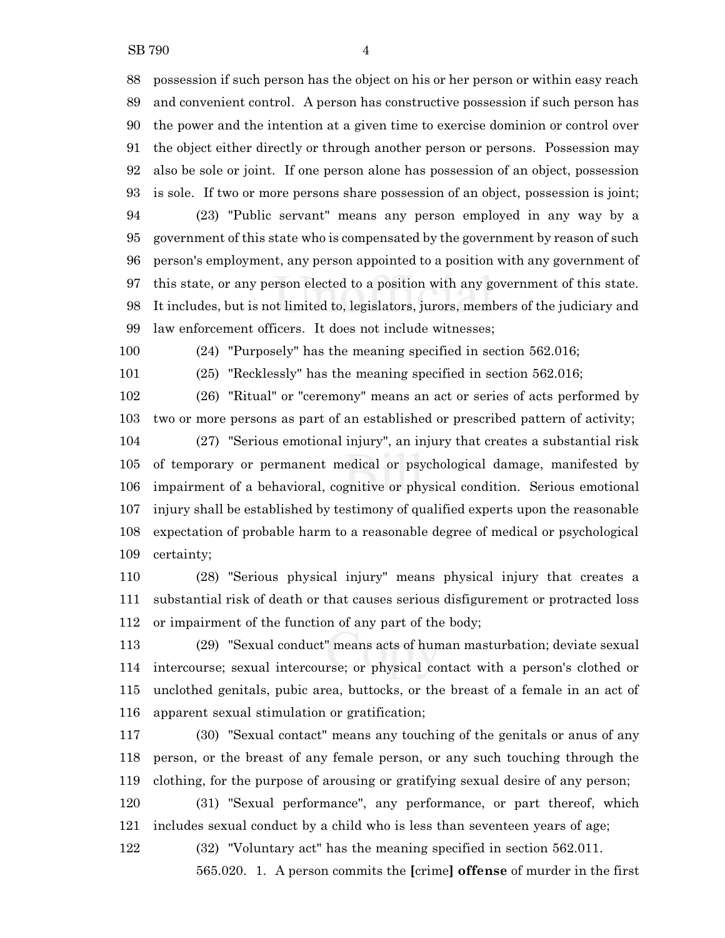possession if such person has the object on his or her person or within easy reach and convenient control. A person has constructive possession if such person has the power and the intention at a given time to exercise dominion or control over the object either directly or through another person or persons. Possession may also be sole or joint. If one person alone has possession of an object, possession is sole. If two or more persons share possession of an object, possession is joint; (23) "Public servant" means any person employed in any way by a government of this state who is compensated by the government by reason of such person's employment, any person appointed to a position with any government of this state, or any person elected to a position with any government of this state. It includes, but is not limited to, legislators, jurors, members of the judiciary and law enforcement officers. It does not include witnesses;

(24) "Purposely" has the meaning specified in section 562.016;

(25) "Recklessly" has the meaning specified in section 562.016;

 (26) "Ritual" or "ceremony" means an act or series of acts performed by two or more persons as part of an established or prescribed pattern of activity;

 (27) "Serious emotional injury", an injury that creates a substantial risk of temporary or permanent medical or psychological damage, manifested by impairment of a behavioral, cognitive or physical condition. Serious emotional injury shall be established by testimony of qualified experts upon the reasonable expectation of probable harm to a reasonable degree of medical or psychological certainty;

 (28) "Serious physical injury" means physical injury that creates a substantial risk of death or that causes serious disfigurement or protracted loss or impairment of the function of any part of the body;

 (29) "Sexual conduct" means acts of human masturbation; deviate sexual intercourse; sexual intercourse; or physical contact with a person's clothed or unclothed genitals, pubic area, buttocks, or the breast of a female in an act of apparent sexual stimulation or gratification;

 (30) "Sexual contact" means any touching of the genitals or anus of any person, or the breast of any female person, or any such touching through the clothing, for the purpose of arousing or gratifying sexual desire of any person;

 (31) "Sexual performance", any performance, or part thereof, which includes sexual conduct by a child who is less than seventeen years of age;

(32) "Voluntary act" has the meaning specified in section 562.011.

565.020. 1. A person commits the **[**crime**] offense** of murder in the first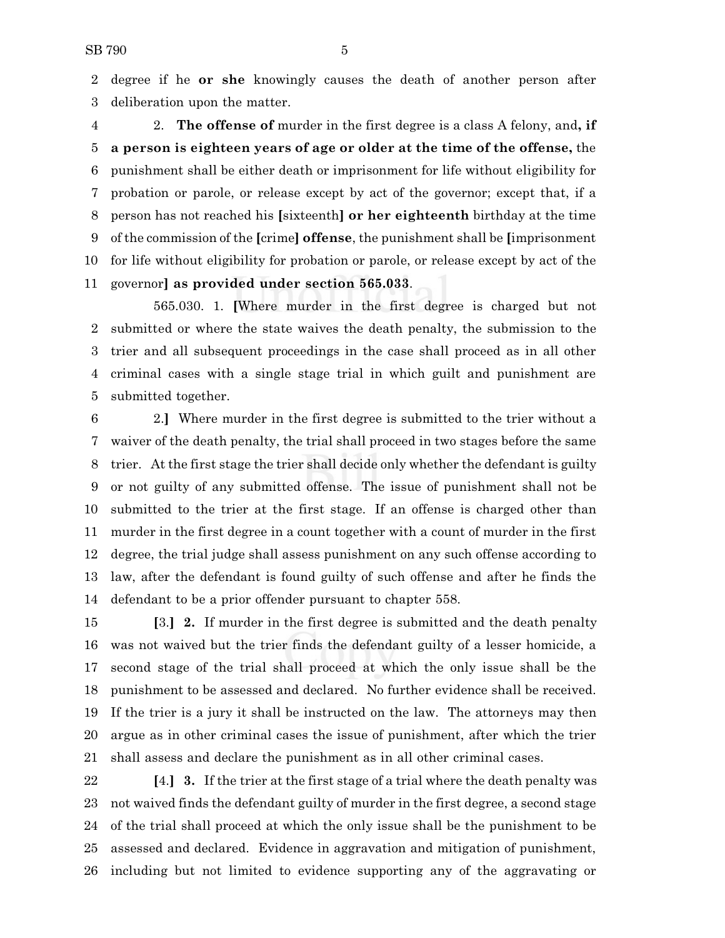degree if he **or she** knowingly causes the death of another person after deliberation upon the matter.

 2. **The offense of** murder in the first degree is a class A felony, and**, if a person is eighteen years of age or older at the time of the offense,** the punishment shall be either death or imprisonment for life without eligibility for probation or parole, or release except by act of the governor; except that, if a person has not reached his **[**sixteenth**] or her eighteenth** birthday at the time of the commission of the **[**crime**] offense**, the punishment shall be **[**imprisonment for life without eligibility for probation or parole, or release except by act of the governor**] as provided under section 565.033**.

565.030. 1. **[**Where murder in the first degree is charged but not submitted or where the state waives the death penalty, the submission to the trier and all subsequent proceedings in the case shall proceed as in all other criminal cases with a single stage trial in which guilt and punishment are submitted together.

 2.**]** Where murder in the first degree is submitted to the trier without a waiver of the death penalty, the trial shall proceed in two stages before the same trier. At the first stage the trier shall decide only whether the defendant is guilty or not guilty of any submitted offense. The issue of punishment shall not be submitted to the trier at the first stage. If an offense is charged other than murder in the first degree in a count together with a count of murder in the first degree, the trial judge shall assess punishment on any such offense according to law, after the defendant is found guilty of such offense and after he finds the defendant to be a prior offender pursuant to chapter 558.

 **[**3.**] 2.** If murder in the first degree is submitted and the death penalty was not waived but the trier finds the defendant guilty of a lesser homicide, a second stage of the trial shall proceed at which the only issue shall be the punishment to be assessed and declared. No further evidence shall be received. If the trier is a jury it shall be instructed on the law. The attorneys may then argue as in other criminal cases the issue of punishment, after which the trier shall assess and declare the punishment as in all other criminal cases.

 **[**4.**] 3.** If the trier at the first stage of a trial where the death penalty was not waived finds the defendant guilty of murder in the first degree, a second stage of the trial shall proceed at which the only issue shall be the punishment to be assessed and declared. Evidence in aggravation and mitigation of punishment, including but not limited to evidence supporting any of the aggravating or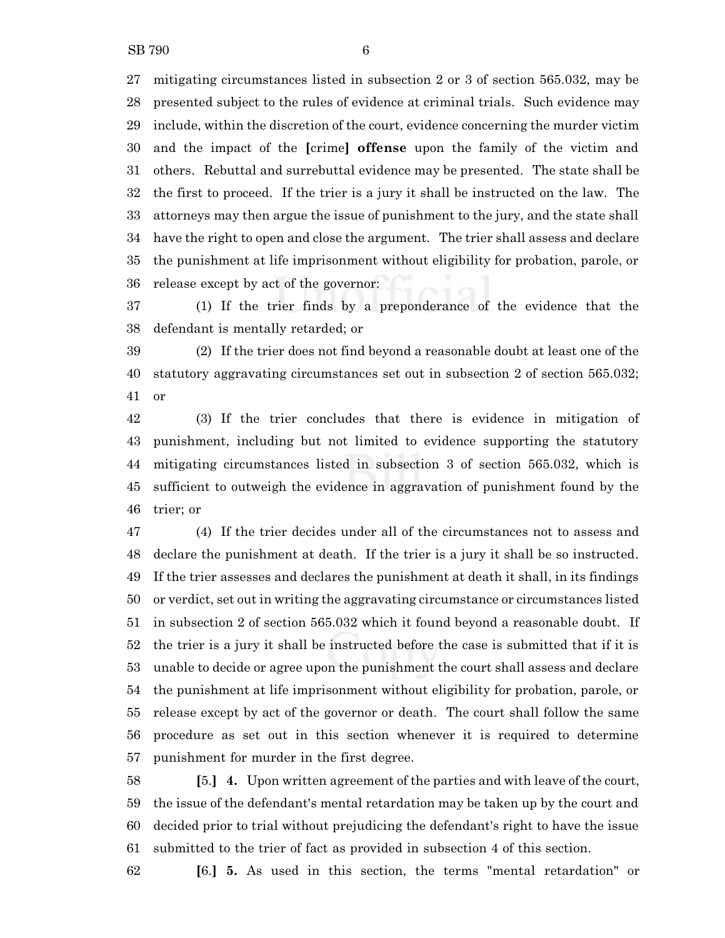mitigating circumstances listed in subsection 2 or 3 of section 565.032, may be presented subject to the rules of evidence at criminal trials. Such evidence may include, within the discretion of the court, evidence concerning the murder victim and the impact of the **[**crime**] offense** upon the family of the victim and others. Rebuttal and surrebuttal evidence may be presented. The state shall be the first to proceed. If the trier is a jury it shall be instructed on the law. The attorneys may then argue the issue of punishment to the jury, and the state shall have the right to open and close the argument. The trier shall assess and declare the punishment at life imprisonment without eligibility for probation, parole, or release except by act of the governor:

 (1) If the trier finds by a preponderance of the evidence that the defendant is mentally retarded; or

 (2) If the trier does not find beyond a reasonable doubt at least one of the statutory aggravating circumstances set out in subsection 2 of section 565.032; or

 (3) If the trier concludes that there is evidence in mitigation of punishment, including but not limited to evidence supporting the statutory mitigating circumstances listed in subsection 3 of section 565.032, which is sufficient to outweigh the evidence in aggravation of punishment found by the trier; or

 (4) If the trier decides under all of the circumstances not to assess and declare the punishment at death. If the trier is a jury it shall be so instructed. If the trier assesses and declares the punishment at death it shall, in its findings or verdict, set out in writing the aggravating circumstance or circumstances listed in subsection 2 of section 565.032 which it found beyond a reasonable doubt. If the trier is a jury it shall be instructed before the case is submitted that if it is unable to decide or agree upon the punishment the court shall assess and declare the punishment at life imprisonment without eligibility for probation, parole, or release except by act of the governor or death. The court shall follow the same procedure as set out in this section whenever it is required to determine punishment for murder in the first degree.

 **[**5.**] 4.** Upon written agreement of the parties and with leave of the court, the issue of the defendant's mental retardation may be taken up by the court and decided prior to trial without prejudicing the defendant's right to have the issue submitted to the trier of fact as provided in subsection 4 of this section.

**[**6.**] 5.** As used in this section, the terms "mental retardation" or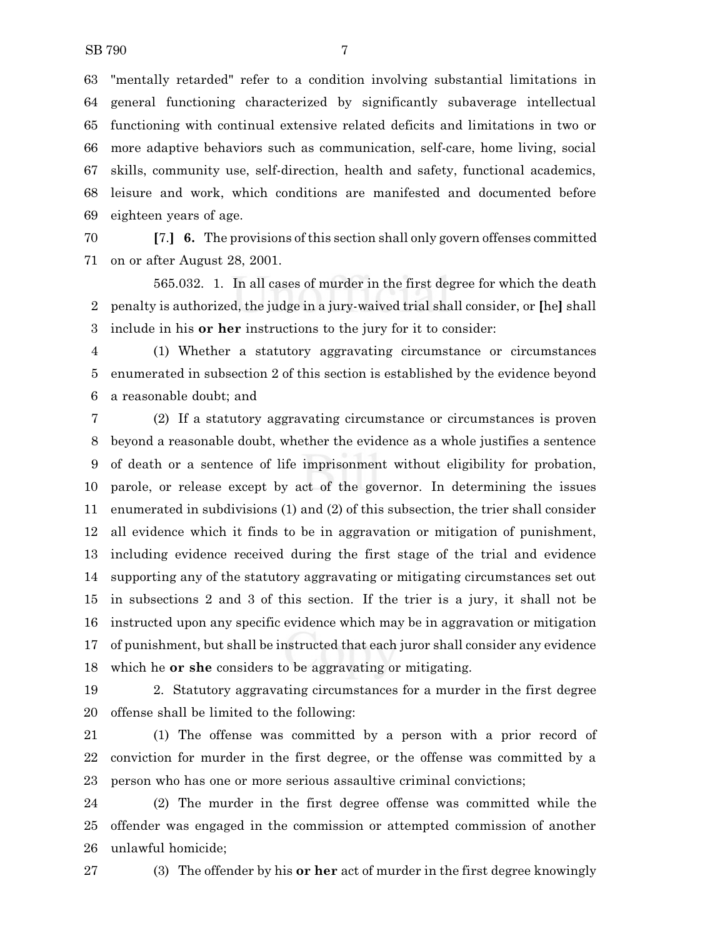"mentally retarded" refer to a condition involving substantial limitations in general functioning characterized by significantly subaverage intellectual functioning with continual extensive related deficits and limitations in two or more adaptive behaviors such as communication, self-care, home living, social skills, community use, self-direction, health and safety, functional academics, leisure and work, which conditions are manifested and documented before eighteen years of age.

 **[**7.**] 6.** The provisions ofthis section shall only govern offenses committed on or after August 28, 2001.

565.032. 1. In all cases of murder in the first degree for which the death penalty is authorized, the judge in a jury-waived trial shall consider, or **[**he**]** shall include in his **or her** instructions to the jury for it to consider:

 (1) Whether a statutory aggravating circumstance or circumstances enumerated in subsection 2 of this section is established by the evidence beyond a reasonable doubt; and

 (2) If a statutory aggravating circumstance or circumstances is proven beyond a reasonable doubt, whether the evidence as a whole justifies a sentence of death or a sentence of life imprisonment without eligibility for probation, parole, or release except by act of the governor. In determining the issues enumerated in subdivisions (1) and (2) of this subsection, the trier shall consider all evidence which it finds to be in aggravation or mitigation of punishment, including evidence received during the first stage of the trial and evidence supporting any of the statutory aggravating or mitigating circumstances set out in subsections 2 and 3 of this section. If the trier is a jury, it shall not be instructed upon any specific evidence which may be in aggravation or mitigation of punishment, but shall be instructed that each juror shall consider any evidence which he **or she** considers to be aggravating or mitigating.

 2. Statutory aggravating circumstances for a murder in the first degree offense shall be limited to the following:

 (1) The offense was committed by a person with a prior record of conviction for murder in the first degree, or the offense was committed by a person who has one or more serious assaultive criminal convictions;

 (2) The murder in the first degree offense was committed while the offender was engaged in the commission or attempted commission of another unlawful homicide;

(3) The offender by his **or her** act of murder in the first degree knowingly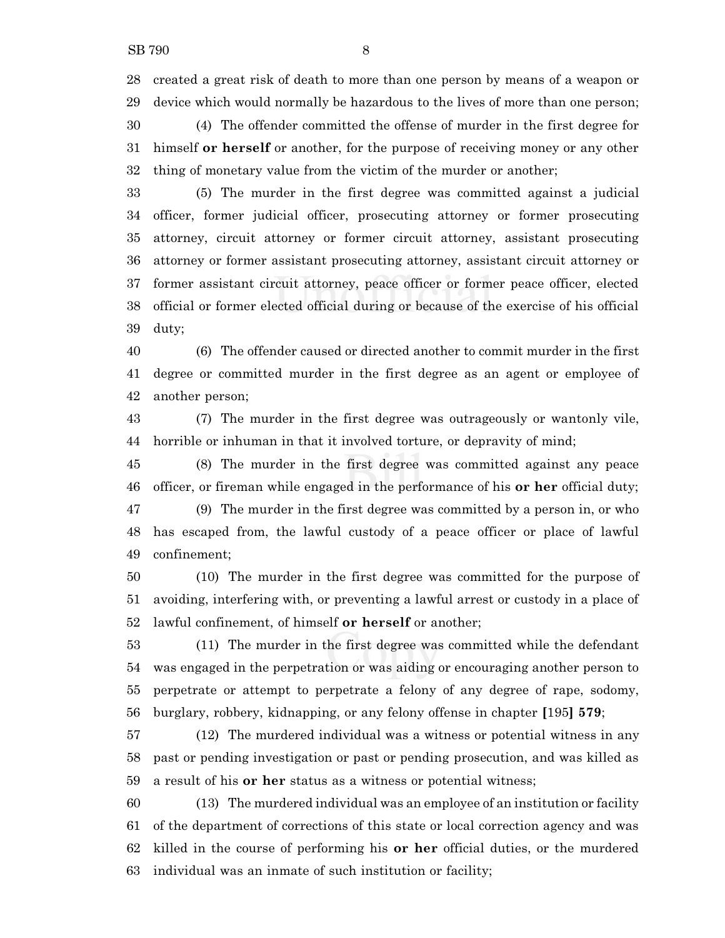created a great risk of death to more than one person by means of a weapon or device which would normally be hazardous to the lives of more than one person;

 (4) The offender committed the offense of murder in the first degree for himself **or herself** or another, for the purpose of receiving money or any other thing of monetary value from the victim of the murder or another;

 (5) The murder in the first degree was committed against a judicial officer, former judicial officer, prosecuting attorney or former prosecuting attorney, circuit attorney or former circuit attorney, assistant prosecuting attorney or former assistant prosecuting attorney, assistant circuit attorney or former assistant circuit attorney, peace officer or former peace officer, elected official or former elected official during or because of the exercise of his official duty;

 (6) The offender caused or directed another to commit murder in the first degree or committed murder in the first degree as an agent or employee of another person;

 (7) The murder in the first degree was outrageously or wantonly vile, horrible or inhuman in that it involved torture, or depravity of mind;

 (8) The murder in the first degree was committed against any peace officer, or fireman while engaged in the performance of his **or her** official duty;

 (9) The murder in the first degree was committed by a person in, or who has escaped from, the lawful custody of a peace officer or place of lawful confinement;

 (10) The murder in the first degree was committed for the purpose of avoiding, interfering with, or preventing a lawful arrest or custody in a place of lawful confinement, of himself **or herself** or another;

 (11) The murder in the first degree was committed while the defendant was engaged in the perpetration or was aiding or encouraging another person to perpetrate or attempt to perpetrate a felony of any degree of rape, sodomy, burglary, robbery, kidnapping, or any felony offense in chapter **[**195**] 579**;

 (12) The murdered individual was a witness or potential witness in any past or pending investigation or past or pending prosecution, and was killed as a result of his **or her** status as a witness or potential witness;

 (13) The murdered individual was an employee of an institution or facility of the department of corrections of this state or local correction agency and was killed in the course of performing his **or her** official duties, or the murdered individual was an inmate of such institution or facility;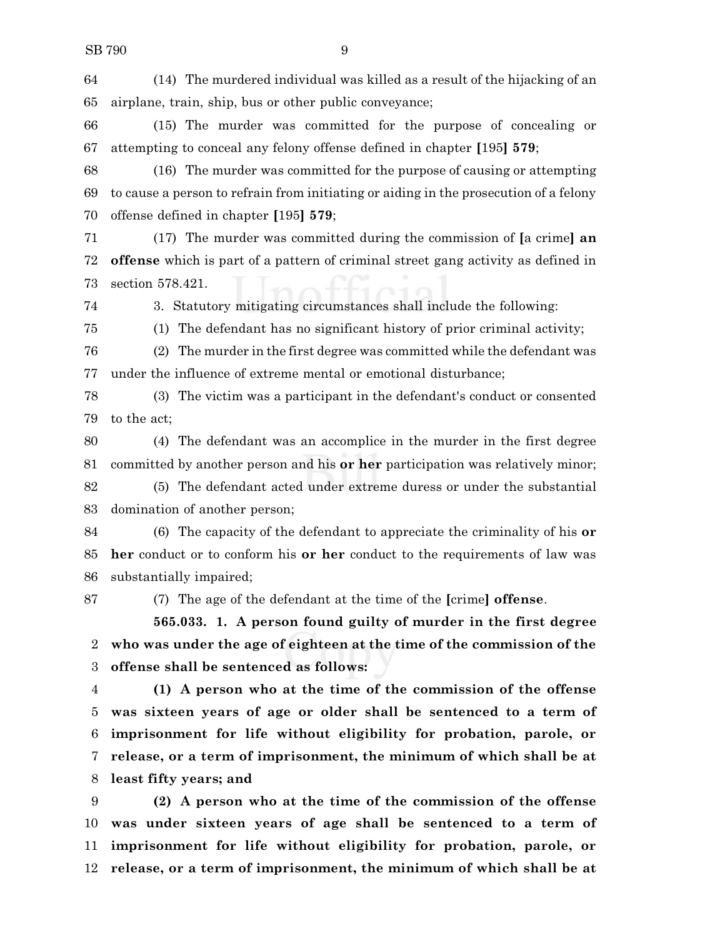(14) The murdered individual was killed as a result of the hijacking of an airplane, train, ship, bus or other public conveyance;

 (15) The murder was committed for the purpose of concealing or attempting to conceal any felony offense defined in chapter **[**195**] 579**;

 (16) The murder was committed for the purpose of causing or attempting to cause a person to refrain from initiating or aiding in the prosecution of a felony offense defined in chapter **[**195**] 579**;

 (17) The murder was committed during the commission of **[**a crime**] an offense** which is part of a pattern of criminal street gang activity as defined in section 578.421.

3. Statutory mitigating circumstances shall include the following:

(1) The defendant has no significant history of prior criminal activity;

 (2) The murder in the first degree was committed while the defendant was under the influence of extreme mental or emotional disturbance;

 (3) The victim was a participant in the defendant's conduct or consented to the act;

 (4) The defendant was an accomplice in the murder in the first degree committed by another person and his **or her** participation was relatively minor; (5) The defendant acted under extreme duress or under the substantial

domination of another person;

 (6) The capacity of the defendant to appreciate the criminality of his **or her** conduct or to conform his **or her** conduct to the requirements of law was substantially impaired;

(7) The age of the defendant at the time of the **[**crime**] offense**.

**565.033. 1. A person found guilty of murder in the first degree who was under the age of eighteen at the time of the commission of the offense shall be sentenced as follows:**

 **(1) A person who at the time of the commission of the offense was sixteen years of age or older shall be sentenced to a term of imprisonment for life without eligibility for probation, parole, or release, or a term of imprisonment, the minimum of which shall be at least fifty years; and**

 **(2) A person who at the time of the commission of the offense was under sixteen years of age shall be sentenced to a term of imprisonment for life without eligibility for probation, parole, or release, or a term of imprisonment, the minimum of which shall be at**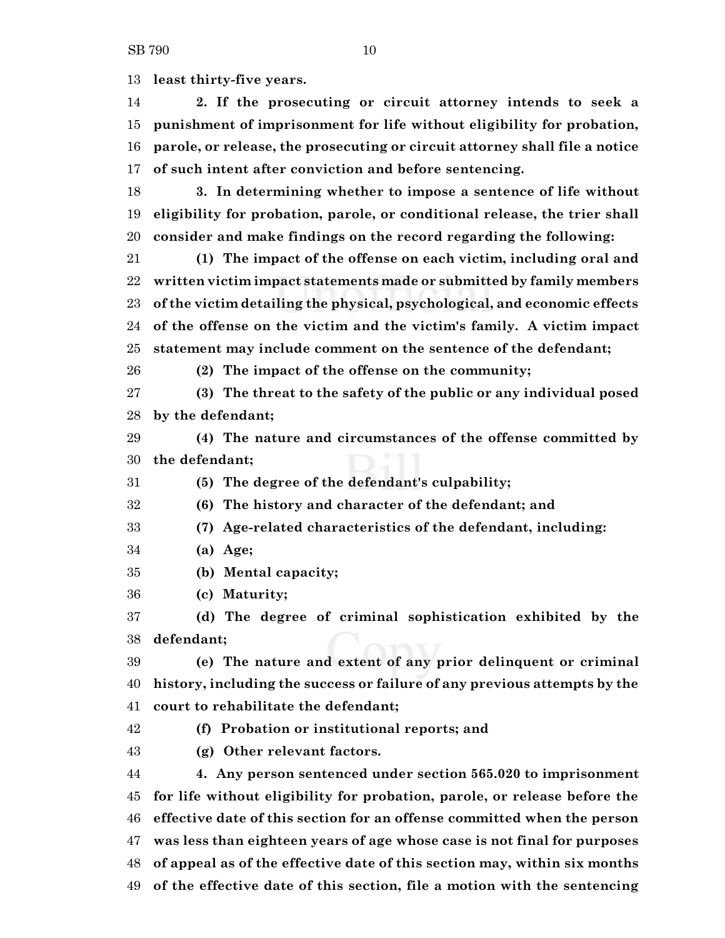**least thirty-five years.**

 **2. If the prosecuting or circuit attorney intends to seek a punishment of imprisonment for life without eligibility for probation, parole, or release, the prosecuting or circuit attorney shall file a notice of such intent after conviction and before sentencing.**

 **3. In determining whether to impose a sentence of life without eligibility for probation, parole, or conditional release, the trier shall consider and make findings on the record regarding the following:**

 **(1) The impact of the offense on each victim, including oral and written victim impact statements made or submitted by family members of the victim detailing the physical, psychological, and economic effects of the offense on the victim and the victim's family. A victim impact statement may include comment on the sentence of the defendant;**

**(2) The impact of the offense on the community;**

 **(3) The threat to the safety of the public or any individual posed by the defendant;**

 **(4) The nature and circumstances of the offense committed by the defendant;**

**(5) The degree of the defendant's culpability;**

**(6) The history and character of the defendant; and**

**(7) Age-related characteristics of the defendant, including:**

**(a) Age;**

**(b) Mental capacity;**

**(c) Maturity;**

 **(d) The degree of criminal sophistication exhibited by the defendant;**

 **(e) The nature and extent of any prior delinquent or criminal history, including the success or failure of any previous attempts by the court to rehabilitate the defendant;**

**(f) Probation or institutional reports; and**

**(g) Other relevant factors.**

 **4. Any person sentenced under section 565.020 to imprisonment for life without eligibility for probation, parole, or release before the effective date of this section for an offense committed when the person was less than eighteen years of age whose case is not final for purposes of appeal as of the effective date of this section may, within six months of the effective date of this section, file a motion with the sentencing**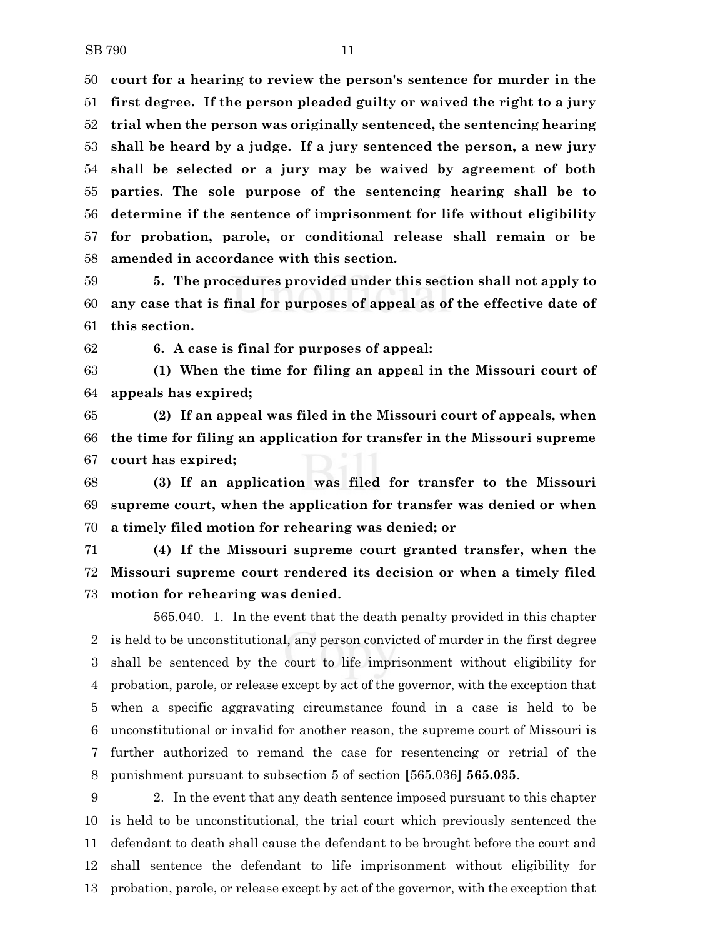**court for a hearing to review the person's sentence for murder in the first degree. If the person pleaded guilty or waived the right to a jury trial when the person was originally sentenced, the sentencing hearing shall be heard by a judge. If a jury sentenced the person, a new jury shall be selected or a jury may be waived by agreement of both parties. The sole purpose of the sentencing hearing shall be to determine if the sentence of imprisonment for life without eligibility for probation, parole, or conditional release shall remain or be amended in accordance with this section.**

 **5. The procedures provided under this section shall not apply to any case that is final for purposes of appeal as of the effective date of this section.**

**6. A case is final for purposes of appeal:**

 **(1) When the time for filing an appeal in the Missouri court of appeals has expired;**

 **(2) If an appeal was filed in the Missouri court of appeals, when the time for filing an application for transfer in the Missouri supreme court has expired;**

 **(3) If an application was filed for transfer to the Missouri supreme court, when the application for transfer was denied or when a timely filed motion for rehearing was denied; or**

 **(4) If the Missouri supreme court granted transfer, when the Missouri supreme court rendered its decision or when a timely filed motion for rehearing was denied.**

565.040. 1. In the event that the death penalty provided in this chapter is held to be unconstitutional, any person convicted of murder in the first degree shall be sentenced by the court to life imprisonment without eligibility for probation, parole, or release except by act of the governor, with the exception that when a specific aggravating circumstance found in a case is held to be unconstitutional or invalid for another reason, the supreme court of Missouri is further authorized to remand the case for resentencing or retrial of the punishment pursuant to subsection 5 of section **[**565.036**] 565.035**.

 2. In the event that any death sentence imposed pursuant to this chapter is held to be unconstitutional, the trial court which previously sentenced the defendant to death shall cause the defendant to be brought before the court and shall sentence the defendant to life imprisonment without eligibility for probation, parole, or release except by act of the governor, with the exception that